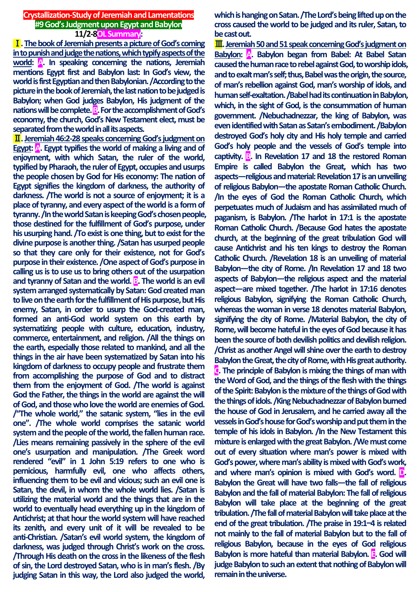### **Crystallization-Study of Jeremiah and Lamentations #9 God's Judgment upon Egypt and Babylon 11/2-8OL Summary:**

Ⅰ**. Thebook of Jeremiah presents a picture of God's coming in to punish and judge the nations, which typify aspects of the**  world: **A.** In speaking concerning the nations, Jeremiah **mentions Egypt first and Babylon last: In God's view, the world is first Egyptian and then Babylonian. /According to the picture in the book of Jeremiah, the last nation to be judged is Babylon; when God judges Babylon, His judgment of the nations will be complete. <b>B**. For the accomplishment of **God's economy, the church, God's New Testament elect, must be separated from the world in all its aspects.**

Ⅱ**. Jeremiah 46:2-28 speaks concerning God's judgment on Egypt: A. Egypt typifies the world of making a living and of enjoyment, with which Satan, the ruler of the world, typified by Pharaoh, the ruler of Egypt, occupies and usurps the people chosen by God for His economy: The nation of Egypt signifies the kingdom of darkness, the authority of darkness. /The world is not a source of enjoyment; it is a place of tyranny, and every aspect of the world is a form of tyranny. /In the world Satan is keeping God's chosen people, those destined for the fulfillment of God's purpose, under his usurping hand. /To exist is one thing, but to exist for the divine purpose is another thing. /Satan has usurped people so that they care only for their existence, not for God's purpose in their existence. /One aspect of God's purpose in calling us is to use us to bring others out of the usurpation and tyranny of Satan and the world. B. The world is an evil system arranged systematically by Satan: God created man to live on the earth for the fulfillment of His purpose, but His enemy, Satan, in order to usurp the God-created man, formed an anti-God world system on this earth by systematizing people with culture, education, industry, commerce, entertainment, and religion. /All the things on the earth, especially those related to mankind, and all the things in the air have been systematized by Satan into his kingdom of darkness to occupy people and frustrate them from accomplishing the purpose of God and to distract them from the enjoyment of God. /The world is against God the Father, the things in the world are against the will of God, and those who love the world are enemies of God. /"The whole world," the satanic system, "lies in the evil one". /The whole world comprises the satanic world system and the people of the world, the fallen human race. /Lies means remaining passively in the sphere of the evil one's usurpation and manipulation. /The Greek word rendered "evil" in 1 John 5:19 refers to one who is pernicious, harmfully evil, one who affects others, influencing them to be evil and vicious; such an evil one is Satan, the devil, in whom the whole world lies. /Satan is utilizing the material world and the things that are in the world to eventually head everything up in the kingdom of Antichrist; at that hour the world system will have reached its zenith, and every unit of it will be revealed to be anti-Christian. /Satan's evil world system, the kingdom of darkness, was judged through Christ's work on the cross. /Through His death on the cross in the likeness of the flesh of sin, the Lord destroyed Satan, who is in man's flesh. /By judging Satan in this way, the Lord also judged the world,** 

**which is hanging on Satan. /The Lord's being lifted up on the cross caused the world to be judged and its ruler, Satan, to be cast out.**

Ⅲ**. Jeremiah 50 and 51 speak concerning God's judgment on Babylon: A. Babylon began from Babel: At Babel Satan caused the human race to rebel against God, to worship idols, and to exalt man's self; thus, Babel was the origin, the source, of man's rebellion against God, man's worship of idols, and human self-exaltation. /Babel had its continuation in Babylon, which, in the sight of God, is the consummation of human government. /Nebuchadnezzar, the king of Babylon, was even identified with Satan as Satan's embodiment. /Babylon destroyed God's holy city and His holy temple and carried God's holy people and the vessels of God's temple into captivity. B. In Revelation 17 and 18 the restored Roman Empire is called Babylon the Great, which has two aspects—religious and material:Revelation 17 is an unveiling of religious Babylon—the apostate Roman Catholic Church. /In the eyes of God the Roman Catholic Church, which perpetuates much of Judaism and has assimilated much of paganism, is Babylon. /The harlot in 17:1 is the apostate Roman Catholic Church. /Because God hates the apostate church, at the beginning of the great tribulation God will cause Antichrist and his ten kings to destroy the Roman Catholic Church. /Revelation 18 is an unveiling of material Babylon—the city of Rome. /In Revelation 17 and 18 two aspects of Babylon—the religious aspect and the material aspect—are mixed together. /The harlot in 17:16 denotes religious Babylon, signifying the Roman Catholic Church, whereas the woman in verse 18 denotes material Babylon, signifying the city of Rome. /Material Babylon, the city of Rome, will become hateful in the eyes of God because it has been the source of both devilish politics and devilish religion. /Christ as another Angel will shine over the earth to destroy Babylon the Great, the city of Rome, with His great authority. C. The principle of Babylon is mixing the things of man with the Word of God, and the things of the flesh with the things**  of the Spirit: Babylon is the mixture of the things of God with **the things of idols. /King Nebuchadnezzar of Babylon burned the house of God in Jerusalem, and he carried away all the vessels in God's house for God's worship and put them in the temple of his idols in Babylon. /In the New Testament this mixture is enlarged with the great Babylon. /We must come out of every situation where man's power is mixed with God's power, where man's ability is mixed with God's work, and where man's opinion is mixed with God's word. D. Babylon the Great will have two falls—the fall of religious Babylon and the fall of material Babylon: The fall of religious Babylon will take place at the beginning of the great tribulation. /The fall of material Babylon will take place at the end of the great tribulation. /The praise in 19:1**-**4 is related not mainly to the fall of material Babylon but to the fall of religious Babylon, because in the eyes of God religious Babylon is more hateful than material Babylon. E. God will judge Babylon to such an extent that nothing of Babylon will remain in the universe.**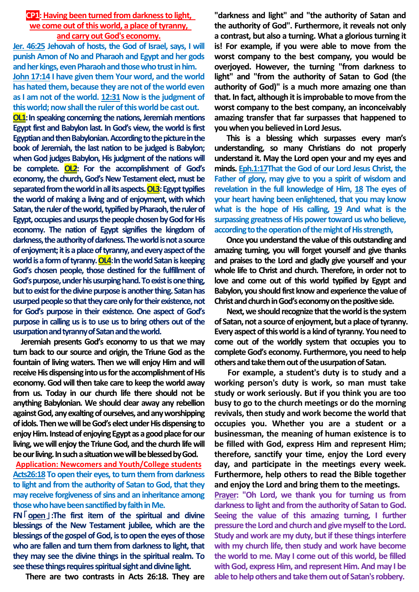# **CP1:** Having been turned from darkness to light, **we come out of this world, a place of tyranny, and carry out God's economy.**

**Jer. 46:25 Jehovah of hosts, the God of Israel, says, I will punish Amon of No and Pharaoh and Egypt and her gods and her kings, even Pharaoh and those who trust in him. John 17:14 I have given them Your word, and the world has hated them, because they are not of the world even as I am not of the world. 12:31 Now is the judgment of this world; now shall the ruler of this world be cast out.**

**OL1:** In speaking concerning the nations, Jeremiah mentions **Egypt first and Babylon last. In God's view, the world is first Egyptian and then Babylonian. According to the picture in the book of Jeremiah, the last nation to be judged is Babylon; when God judges Babylon, His judgment of the nations will be complete. OL2: For the accomplishment of God's economy, the church, God's New Testament elect, must be separated from the world in all its aspects. OL3: Egypt typifies the world of making a living and of enjoyment, with which Satan, the ruler of the world, typified by Pharaoh, the ruler of Egypt, occupies and usurps the people chosen by God for His economy. The nation of Egypt signifies the kingdom of darkness, the authority of darkness. The world is not a source of enjoyment; it is a place of tyranny, and every aspect of the world is a form of tyranny. OL4:In the world Satan is keeping God's chosen people, those destined for the fulfillment of God's purpose, under his usurping hand. To exist is one thing, but to exist for the divine purpose is another thing. Satan has usurped people so that they care only for their existence, not for God's purpose in their existence. One aspect of God's purpose in calling us is to use us to bring others out of the usurpation and tyranny of Satan and the world.**

**Jeremiah presents God's economy to us that we may turn back to our source and origin, the Triune God as the fountain of living waters. Then we will enjoy Him and will receive His dispensing into us for the accomplishment of His economy. God will then take care to keep the world away from us. Today in our church life there should not be anything Babylonian. We should clear away any rebellion against God, any exalting of ourselves, and any worshipping of idols. Then we will be God's elect under His dispensing to enjoy Him. Instead of enjoying Egypt as a good place for our living, we will enjoy the Triune God, and the church life will be our living. In such a situation we will be blessed by God.**

**Application: Newcomers and Youth/College students Acts26:18 To open their eyes, to turn them from darkness to light and from the authority of Satan to God, that they may receive forgiveness of sins and an inheritance among those who have been sanctified by faith in Me.**

**FN**「**open**」**:The first item of the spiritual and divine blessings of the New Testament jubilee, which are the blessings of the gospel of God, is to open the eyes of those who are fallen and turn them from darkness to light, that they may see the divine things in the spiritual realm. To see these things requires spiritual sight and divine light.**

**There are two contrasts in Acts 26:18. They are** 

**"darkness and light" and "the authority of Satan and the authority of God". Furthermore, it reveals not only a contrast, but also a turning. What a glorious turning it is! For example, if you were able to move from the worst company to the best company, you would be overjoyed. However, the turning "from darkness to light" and "from the authority of Satan to God (the authority of God)" is a much more amazing one than that. In fact, although it is improbable to move from the worst company to the best company, an inconceivably amazing transfer that far surpasses that happened to you when you believed in Lord Jesus.**

**This is a blessing which surpasses every man's understanding, so many Christians do not properly understand it. May the Lord open your and my eyes and minds. Eph.1:17That the God of our Lord Jesus Christ, the Father of glory, may give to you a spirit of wisdom and revelation in the full knowledge of Him, 18 The eyes of your heart having been enlightened, that you may know what is the hope of His calling, 19 And what is the surpassing greatness of His power toward us who believe, according to the operation of the might of His strength,**

**Once you understand the value of this outstanding and amazing turning, you will forget yourself and give thanks and praises to the Lord and gladly give yourself and your whole life to Christ and church. Therefore, in order not to love and come out of this world typified by Egypt and Babylon, you should first know and experience the value of Christ and church in God's economy on the positive side.**

Next, we should recognize that the world is the system **of Satan, not a source of enjoyment, but a place of tyranny. Every aspect of this world is a kind of tyranny. You need to come out of the worldly system that occupies you to complete God's economy. Furthermore, you need to help others and take themout of the usurpationof Satan.**

**For example, a student's duty is to study and a working person's duty is work, so man must take study or work seriously. But if you think you are too busy to go to the church meetings or do the morning revivals, then study and work become the world that occupies you. Whether you are a student or a businessman, the meaning of human existence is to be filled with God, express Him and represent Him; therefore, sanctify your time, enjoy the Lord every day, and participate in the meetings every week. Furthermore, help others to read the Bible together and enjoy the Lord and bring them to the meetings.**

**Prayer: "Oh Lord, we thank you for turning us from darkness to light and from the authority of Satan to God. Seeing the value of this amazing turning, I further pressure the Lord and church and give myself to the Lord. Study and work are my duty, but if these things interfere with my church life, then study and work have become the world to me. May I come out of this world, be filled with God, express Him, and represent Him. And may I be able to help others and take them out of Satan's robbery.**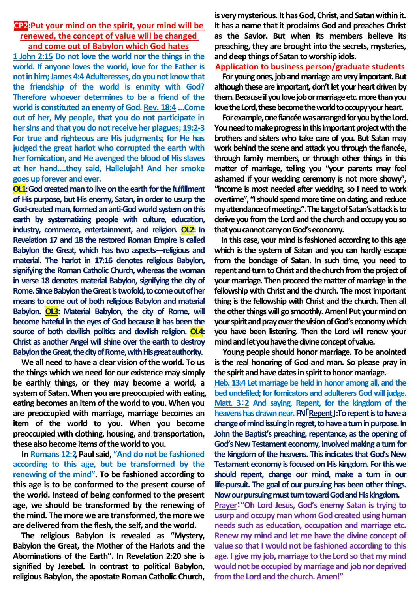# **CP2:Put your mind on the spirit, your mind will be renewed, the concept of value will be changed and come out of Babylon which God hates**

**1 John 2:15 Do not love the world nor the things in the world. If anyone loves the world, love for the Father is not in him; James 4:4Adulteresses, do you not know that the friendship of the world is enmity with God? Therefore whoever determines to be a friend of the world is constituted an enemy of God. Rev. 18:4 …Come out of her, My people, that you do not participate in her sins and that you do not receive her plagues; 19:2-3 For true and righteous are His judgments; for He has judged the great harlot who corrupted the earth with her fornication, and He avenged the blood of His slaves at her hand.…they said, Hallelujah! And her smoke goes up forever and ever.**

**OL1:God created man to live on the earth for the fulfillment of His purpose, but His enemy, Satan, in order to usurp the God-created man, formed an anti-God world system on this earth by systematizing people with culture, education, industry, commerce, entertainment, and religion. OL2: In Revelation 17 and 18 the restored Roman Empire is called Babylon the Great, which has two aspects—religious and material. The harlot in 17:16 denotes religious Babylon, signifying the Roman Catholic Church, whereas the woman in verse 18 denotes material Babylon, signifying the city of Rome. Since Babylon the Great is twofold, to come out of her means to come out of both religious Babylon and material Babylon. OL3: Material Babylon, the city of Rome, will become hateful in the eyes of God because it has been the source of both devilish politics and devilish religion. OL4: Christ as another Angel will shine over the earth to destroy Babylon the Great, the city of Rome, with His great authority.**

**We all need to have a clear vision of the world. To us the things which we need for our existence may simply be earthly things, or they may become a world, a system of Satan. When you are preoccupied with eating, eating becomes an item of the world to you. When you are preoccupied with marriage, marriage becomes an item of the world to you. When you become preoccupied with clothing, housing, and transportation, these also become items of the world to you.** 

**In Romans 12:2, Paul said, "And do not be fashioned according to this age, but be transformed by the renewing of the mind". To be fashioned according to this age is to be conformed to the present course of the world. Instead of being conformed to the present age, we should be transformed by the renewing of the mind. The more we are transformed, the more we are delivered from the flesh, the self, and the world.**

**The religious Babylon is revealed as "Mystery, Babylon the Great, the Mother of the Harlots and the Abominations of the Earth". In Revelation 2:20 she is signified by Jezebel. In contrast to political Babylon, religious Babylon, the apostate Roman Catholic Church,** 

**is very mysterious. It has God, Christ, and Satan within it. It has a name that it proclaims God and preaches Christ as the Savior. But when its members believe its preaching, they are brought into the secrets, mysteries, and deep things of Satan to worship idols.**

#### **Application to business person/graduate students**

**For young ones, job and marriage are very important. But although these are important, don't let your heart driven by them. Because if you love job or marriage etc. more than you love the Lord, these become the world to occupy your heart.**

**For example, one fiancée was arranged for you by the Lord. You need to make progress in this important project with the brothers and sisters who take care of you. But Satan may work behind the scene and attack you through the fiancée, through family members, or through other things in this matter of marriage, telling you "your parents may feel ashamed if your wedding ceremony is not more showy", "income is most needed after wedding, so I need to work overtime", "I should spend more time on dating, and reduce my attendance ofmeetings".The target of Satan's attack is to derive you from the Lord and the church and occupy you so that you cannot carry on God's economy.**

**In this case, your mind is fashioned according to this age which is the system of Satan and you can hardly escape from the bondage of Satan. In such time, you need to repent and turn to Christ and the church from the project of your marriage. Then proceed the matter of marriage in the fellowship with Christ and the church. The most important thing is the fellowship with Christ and the church. Then all the other things will go smoothly. Amen! Put your mind on your spirit and pray over the vision of God's economy which you have been listening. Then the Lord will renew your mind and let you have the divine concept of value.**

**Young people should honor marriage. To be anointed is the real honoring of God and man. So please pray in the spirit and have dates in spirit to honor marriage.** 

**Heb. 13:4 Let marriage be held in honor among all, and the bed undefiled; for fornicators and adulterers God will judge. Matt. 3**:**2 And saying, Repent, for the kingdom of the heavens has drawn near.FN**「**Repent**」**:To repent is to have a change of mind issuing in regret, to have a turn in purpose. In John the Baptist's preaching, repentance, as the opening of God's New Testament economy, involved making a turn for the kingdom of the heavens. This indicates that God's New Testament economy is focused on His kingdom. For this we should repent, change our mind, make a turn in our life-pursuit. The goal of our pursuing has been other things. Now our pursuing must turn toward God and His kingdom.**

**Prayer**:**"Oh Lord Jesus, God's enemy Satan is trying to usurp and occupy man whom God created using human needs such as education, occupation and marriage etc. Renew my mind and let me have the divine concept of value so that I would not be fashioned according to this age. I give my job, marriage to the Lord so that my mind would not be occupied by marriage and job nor deprived from the Lord and the church. Amen!"**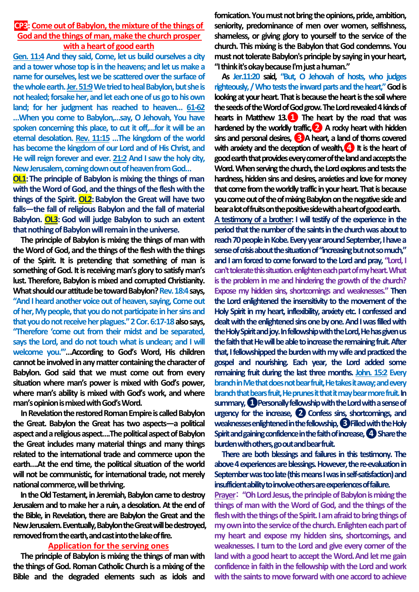# **CP3: Come out of Babylon, the mixture of the things of God and the things of man, make the church prosper with a heart of good earth**

**Gen. 11:4 And they said, Come, let us build ourselves a city and a tower whose top is in the heavens; and let us make a name for ourselves, lest we be scattered over the surface of**  the whole earth. Jer. 51:9 We tried to heal Babylon, but she is **not healed; forsake her, and let each one of us go to his own land; for her judgment has reached to heaven… 61-62 …When you come to Babylon,…say, O Jehovah, You have spoken concerning this place, to cut it off,…for it will be an eternal desolation. Rev. 11:15 …The kingdom of the world has become the kingdom of our Lord and of His Christ, and He will reign forever and ever. 21:2 And I saw the holy city, New Jerusalem, coming down out of heaven from God…**

**OL1:** The principle of Babylon is mixing the things of man **with the Word of God, and the things of the flesh with the**  things of the Spirit. **OL2**: Babylon the Great will have two **falls—the fall of religious Babylon and the fall of material Babylon. OL3: God will judge Babylon to such an extent that nothing of Babylon will remain in the universe.**

**The principle of Babylon is mixing the things of man with the Word of God, and the things of the flesh with the things of the Spirit. It is pretending that something of man is something of God. It is receiving man's glory to satisfy man's lust. Therefore, Babylon is mixed and corrupted Christianity. What should our attitude be toward Babylon? Rev. 18:4 says, "And I heard another voice out of heaven, saying, Come out of her, My people, that you do not participate in her sins and that you do not receive her plagues."2 Cor. 6:17-18 also says, "Therefore 'come out from their midst and be separated,**  says the Lord, and do not touch what is unclean; and I will **welcome you.'"…According to God's Word, His children cannot be involved in any matter containing the character of Babylon. God said that we must come out from every situation where man's power is mixed with God's power, where man's ability is mixed with God's work, and where man's opinion is mixed with God's Word.**

**In Revelation the restored Roman Empire is called Babylon the Great. Babylon the Great has two aspects—a political aspect and a religious aspect….The political aspect of Babylon the Great includes many material things and many things related to the international trade and commerce upon the earth….At the end time, the political situation of the world will not be communistic, for international trade, not merely national commerce, will be thriving.**

**In the Old Testament, in Jeremiah, Babylon came to destroy Jerusalem and to make her a ruin, a desolation. At the end of the Bible, in Revelation, there are Babylon the Great and the New Jerusalem. Eventually, Babylon the Great will be destroyed, removed from the earth, and castinto the lake of fire.**

# **Application for the serving ones**

**The principle of Babylon is mixing the things of man with the things of God. Roman Catholic Church is a mixing of the Bible and the degraded elements such as idols and**  **fornication. You must not bring the opinions, pride, ambition, seniority, predominance of men over women, selfishness, shameless, or giving glory to yourself to the service of the church. This mixing is the Babylon that God condemns. You must not tolerate Babylon's principle by saying in your heart, "I think it's okay because I'm just a human."**

**As Jer.11:20 said, "But, O Jehovah of hosts, who judges righteously, / Who tests the inward parts and the heart,"God is looking at your heart. That is because the heart is the soil where the seeds of the Word of God grow. The Lord revealed 4 kinds of hearts in Matthew 13.❶ The heart by the road that was hardened by the worldly traffic,❷A rocky heart with hidden sins and personal desires, ❸A heart, a land of thorns covered with anxiety and the deception of wealth,❹It is the heart of good earth that provides every corner of the land and accepts the Word. When serving the church, the Lord explores and tests the hardness, hidden sins and desires, anxieties and love for money that come from the worldly traffic in your heart. That is because you come out of the of mixing Babylon on the negative side and bear a lot of fruits on the positive side with a heart of good earth.**

**A testimony of a brother: I will testify of the experience in the**  period that the number of the saints in the church was about to **reach 70 people in Kobe. Every year around September, I have a sense of crisis about the situation of "increasing but not so much," and I am forced to come forward to the Lord and pray, "Lord, I can't tolerate this situation. enlighteneach part of my heart. What is the problem in me and hindering the growth of the church? Expose my hidden sins, shortcomings and weaknesses." Then the Lord enlightened the insensitivity to the movement of the Holy Spirit in my heart, inflexibility, anxiety etc. I confessed and**  dealt with the enlightened sins one by one. And I was filled with **the Holy Spirit and joy. In fellowship with the Lord, He has given us the faith that He will be able to increase the remaining fruit. After that, I fellowshipped the burden with my wifeand practiced the gospel and nourishing. Each year, the Lord added some remaining fruit during the last three months. John. 15:2 Every branch in Me that does not bear fruit, He takes it away; and every branch that bears fruit, He prunes it that it may bear more fruit.In summary, ❶Personally fellowship with the Lord with a sense of urgency for the increase, ❷Confess sins, shortcomings, and weaknessesenlightened in the fellowship, ❸Filled with the Holy Spirit and gaining confidence in the faithofincrease,❹Share the burden with others, go out and bear fruit.**

**There are both blessings and failures in this testimony. The above 4 experiences are blessings. However, the re-evaluation in September was too late (this means I was in self-satisfaction) and insufficient ability to involve others are experiences of failure.**

**Prayer**: **"Oh Lord Jesus, the principle of Babylon is mixing the things of man with the Word of God, and the things of the flesh with the things of the Spirit. I am afraid to bring things of my own into the service of the church. Enlighten each part of my heart and expose my hidden sins, shortcomings, and weaknesses. I turn to the Lord and give every corner of the land with a good heart to accept the Word.And let me gain confidence in faith in the fellowship with the Lord and work**  with the saints to move forward with one accord to achieve